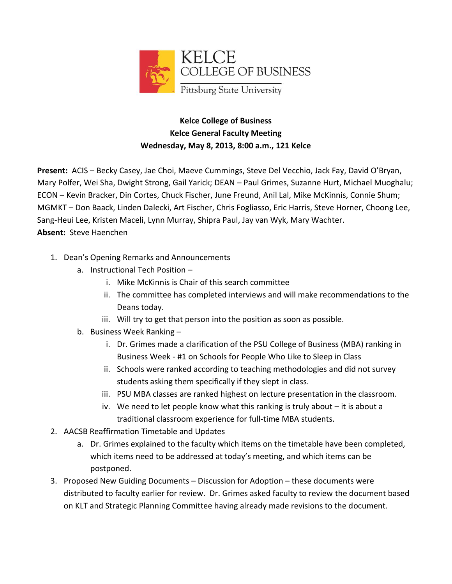

## **Kelce College of Business Kelce General Faculty Meeting Wednesday, May 8, 2013, 8:00 a.m., 121 Kelce**

**Present:** ACIS – Becky Casey, Jae Choi, Maeve Cummings, Steve Del Vecchio, Jack Fay, David O'Bryan, Mary Polfer, Wei Sha, Dwight Strong, Gail Yarick; DEAN – Paul Grimes, Suzanne Hurt, Michael Muoghalu; ECON – Kevin Bracker, Din Cortes, Chuck Fischer, June Freund, Anil Lal, Mike McKinnis, Connie Shum; MGMKT – Don Baack, Linden Dalecki, Art Fischer, Chris Fogliasso, Eric Harris, Steve Horner, Choong Lee, Sang-Heui Lee, Kristen Maceli, Lynn Murray, Shipra Paul, Jay van Wyk, Mary Wachter. **Absent:** Steve Haenchen

- 1. Dean's Opening Remarks and Announcements
	- a. Instructional Tech Position
		- i. Mike McKinnis is Chair of this search committee
		- ii. The committee has completed interviews and will make recommendations to the Deans today.
		- iii. Will try to get that person into the position as soon as possible.
	- b. Business Week Ranking
		- i. Dr. Grimes made a clarification of the PSU College of Business (MBA) ranking in Business Week - #1 on Schools for People Who Like to Sleep in Class
		- ii. Schools were ranked according to teaching methodologies and did not survey students asking them specifically if they slept in class.
		- iii. PSU MBA classes are ranked highest on lecture presentation in the classroom.
		- iv. We need to let people know what this ranking is truly about it is about a traditional classroom experience for full-time MBA students.
- 2. AACSB Reaffirmation Timetable and Updates
	- a. Dr. Grimes explained to the faculty which items on the timetable have been completed, which items need to be addressed at today's meeting, and which items can be postponed.
- 3. Proposed New Guiding Documents Discussion for Adoption these documents were distributed to faculty earlier for review. Dr. Grimes asked faculty to review the document based on KLT and Strategic Planning Committee having already made revisions to the document.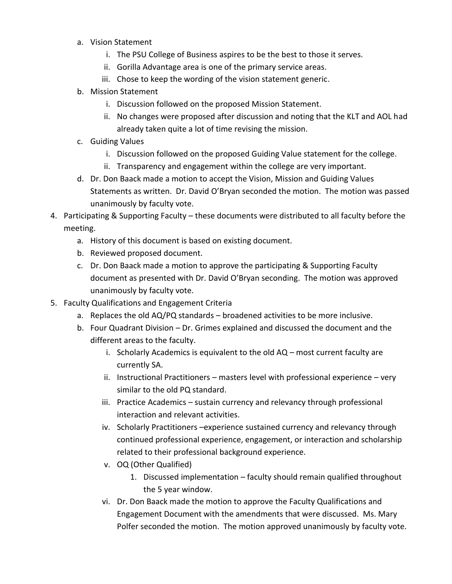- a. Vision Statement
	- i. The PSU College of Business aspires to be the best to those it serves.
	- ii. Gorilla Advantage area is one of the primary service areas.
	- iii. Chose to keep the wording of the vision statement generic.
- b. Mission Statement
	- i. Discussion followed on the proposed Mission Statement.
	- ii. No changes were proposed after discussion and noting that the KLT and AOL had already taken quite a lot of time revising the mission.
- c. Guiding Values
	- i. Discussion followed on the proposed Guiding Value statement for the college.
	- ii. Transparency and engagement within the college are very important.
- d. Dr. Don Baack made a motion to accept the Vision, Mission and Guiding Values Statements as written. Dr. David O'Bryan seconded the motion. The motion was passed unanimously by faculty vote.
- 4. Participating & Supporting Faculty these documents were distributed to all faculty before the meeting.
	- a. History of this document is based on existing document.
	- b. Reviewed proposed document.
	- c. Dr. Don Baack made a motion to approve the participating & Supporting Faculty document as presented with Dr. David O'Bryan seconding. The motion was approved unanimously by faculty vote.
- 5. Faculty Qualifications and Engagement Criteria
	- a. Replaces the old AQ/PQ standards broadened activities to be more inclusive.
	- b. Four Quadrant Division Dr. Grimes explained and discussed the document and the different areas to the faculty.
		- i. Scholarly Academics is equivalent to the old AQ most current faculty are currently SA.
		- ii. Instructional Practitioners masters level with professional experience very similar to the old PQ standard.
		- iii. Practice Academics sustain currency and relevancy through professional interaction and relevant activities.
		- iv. Scholarly Practitioners –experience sustained currency and relevancy through continued professional experience, engagement, or interaction and scholarship related to their professional background experience.
		- v. OQ (Other Qualified)
			- 1. Discussed implementation faculty should remain qualified throughout the 5 year window.
		- vi. Dr. Don Baack made the motion to approve the Faculty Qualifications and Engagement Document with the amendments that were discussed. Ms. Mary Polfer seconded the motion. The motion approved unanimously by faculty vote.